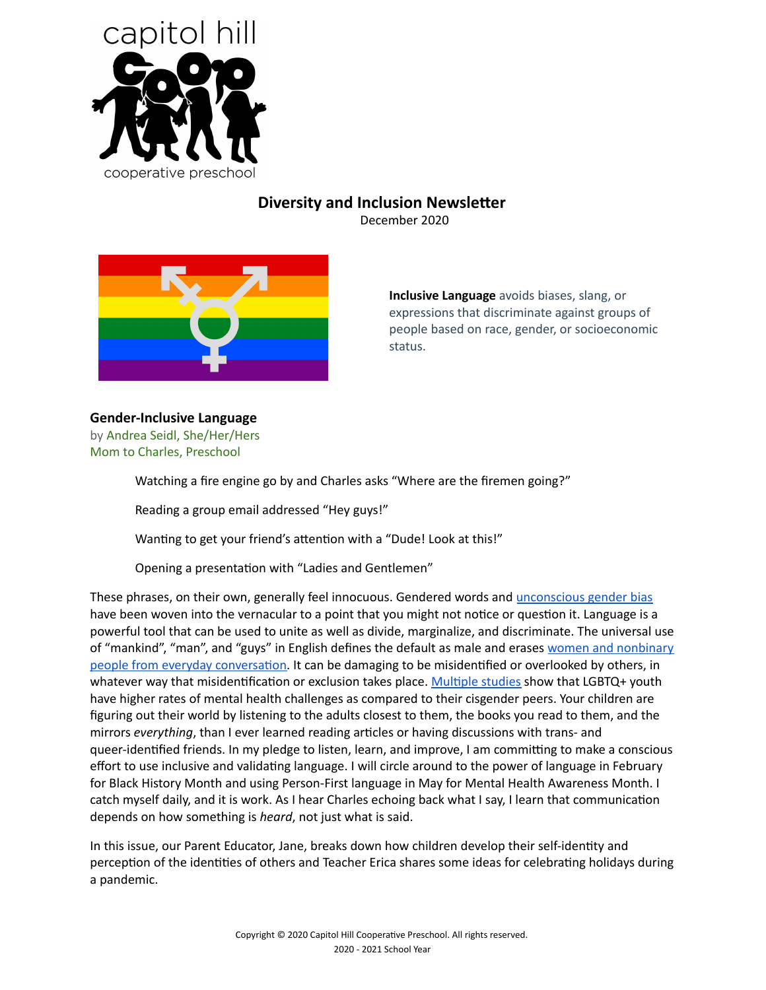

# **Diversity and Inclusion Newsletter**

December 2020



**Inclusive Language** avoids biases, slang, or expressions that discriminate against groups of people based on race, gender, or socioeconomic status.

## **Gender-Inclusive Language**

by Andrea Seidl, She/Her/Hers Mom to Charles, Preschool

Watching a fire engine go by and Charles asks "Where are the firemen going?"

Reading a group email addressed "Hey guys!"

Wanting to get your friend's attention with a "Dude! Look at this!"

Opening a presentation with "Ladies and Gentlemen"

These phrases, on their own, generally feel innocuous. Gendered words and [unconscious](https://women2.com/2016/09/21/unconscious-gender-bias-we-are-all-guilty/) gender bias have been woven into the vernacular to a point that you might not notice or question it. Language is a powerful tool that can be used to unite as well as divide, marginalize, and discriminate. The universal use of "mankind", "man", and "guys" in English defines the default as male and erases women and [nonbinary](https://www.teenvogue.com/story/how-to-use-gender-neutral-words) people from everyday conversation. It can be damaging to be misidentified or overlooked by others, in whatever way that misidentification or exclusion takes place. Multiple studies show that LGBTQ+ youth have higher rates of mental health challenges as compared to their cisgender peers. Your children are figuring out their world by listening to the adults closest to them, the books you read to them, and the mirrors *everything*, than I ever learned reading articles or having discussions with trans- and queer-identified friends. In my pledge to listen, learn, and improve, I am committing to make a conscious effort to use inclusive and validating language. I will circle around to the power of language in February for Black History Month and using Person-First language in May for Mental Health Awareness Month. I catch myself daily, and it is work. As I hear Charles echoing back what I say, I learn that communication depends on how something is *heard*, not just what is said.

In this issue, our Parent Educator, Jane, breaks down how children develop their self-identity and perception of the identities of others and Teacher Erica shares some ideas for celebrating holidays during a pandemic.